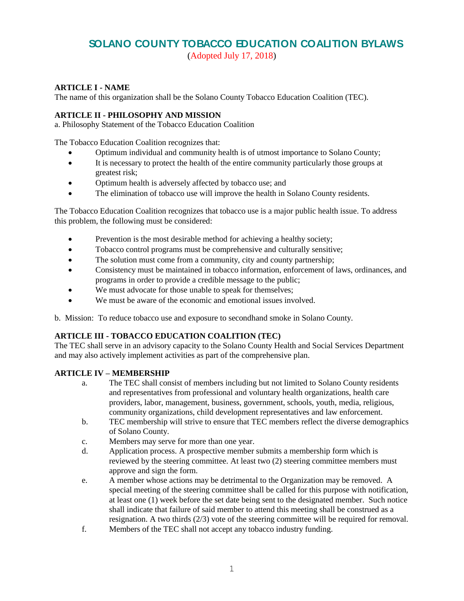# **SOLANO COUNTY TOBACCO EDUCATION COALITION BYLAWS**

(Adopted July 17, 2018)

### **ARTICLE I - NAME**

The name of this organization shall be the Solano County Tobacco Education Coalition (TEC).

#### **ARTICLE II - PHILOSOPHY AND MISSION**

a. Philosophy Statement of the Tobacco Education Coalition

The Tobacco Education Coalition recognizes that:

- Optimum individual and community health is of utmost importance to Solano County;
- It is necessary to protect the health of the entire community particularly those groups at greatest risk;
- Optimum health is adversely affected by tobacco use; and
- The elimination of tobacco use will improve the health in Solano County residents.

The Tobacco Education Coalition recognizes that tobacco use is a major public health issue. To address this problem, the following must be considered:

- Prevention is the most desirable method for achieving a healthy society;
- Tobacco control programs must be comprehensive and culturally sensitive;
- The solution must come from a community, city and county partnership;
- Consistency must be maintained in tobacco information, enforcement of laws, ordinances, and programs in order to provide a credible message to the public;
- We must advocate for those unable to speak for themselves;
- We must be aware of the economic and emotional issues involved.

b. Mission: To reduce tobacco use and exposure to secondhand smoke in Solano County.

#### **ARTICLE III - TOBACCO EDUCATION COALITION (TEC)**

The TEC shall serve in an advisory capacity to the Solano County Health and Social Services Department and may also actively implement activities as part of the comprehensive plan.

#### **ARTICLE IV – MEMBERSHIP**

- a. The TEC shall consist of members including but not limited to Solano County residents and representatives from professional and voluntary health organizations, health care providers, labor, management, business, government, schools, youth, media, religious, community organizations, child development representatives and law enforcement.
- b. TEC membership will strive to ensure that TEC members reflect the diverse demographics of Solano County.
- c. Members may serve for more than one year.
- d. Application process. A prospective member submits a membership form which is reviewed by the steering committee. At least two (2) steering committee members must approve and sign the form.
- e. A member whose actions may be detrimental to the Organization may be removed. A special meeting of the steering committee shall be called for this purpose with notification, at least one (1) week before the set date being sent to the designated member. Such notice shall indicate that failure of said member to attend this meeting shall be construed as a resignation. A two thirds (2/3) vote of the steering committee will be required for removal.
- f. Members of the TEC shall not accept any tobacco industry funding.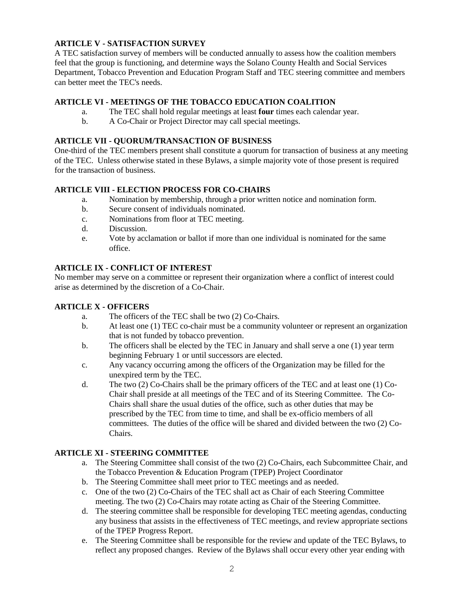### **ARTICLE V - SATISFACTION SURVEY**

A TEC satisfaction survey of members will be conducted annually to assess how the coalition members feel that the group is functioning, and determine ways the Solano County Health and Social Services Department, Tobacco Prevention and Education Program Staff and TEC steering committee and members can better meet the TEC's needs.

### **ARTICLE VI - MEETINGS OF THE TOBACCO EDUCATION COALITION**

- a. The TEC shall hold regular meetings at least **four** times each calendar year.
- b. A Co-Chair or Project Director may call special meetings.

#### **ARTICLE VII - QUORUM/TRANSACTION OF BUSINESS**

One-third of the TEC members present shall constitute a quorum for transaction of business at any meeting of the TEC. Unless otherwise stated in these Bylaws, a simple majority vote of those present is required for the transaction of business.

#### **ARTICLE VIII - ELECTION PROCESS FOR CO-CHAIRS**

- a. Nomination by membership, through a prior written notice and nomination form.
- b. Secure consent of individuals nominated.
- c. Nominations from floor at TEC meeting.
- d. Discussion.
- e. Vote by acclamation or ballot if more than one individual is nominated for the same office.

#### **ARTICLE IX - CONFLICT OF INTEREST**

No member may serve on a committee or represent their organization where a conflict of interest could arise as determined by the discretion of a Co-Chair.

#### **ARTICLE X - OFFICERS**

- a. The officers of the TEC shall be two (2) Co-Chairs.
- b. At least one (1) TEC co-chair must be a community volunteer or represent an organization that is not funded by tobacco prevention.
- b. The officers shall be elected by the TEC in January and shall serve a one (1) year term beginning February 1 or until successors are elected.
- c. Any vacancy occurring among the officers of the Organization may be filled for the unexpired term by the TEC.
- d. The two (2) Co-Chairs shall be the primary officers of the TEC and at least one (1) Co-Chair shall preside at all meetings of the TEC and of its Steering Committee. The Co-Chairs shall share the usual duties of the office, such as other duties that may be prescribed by the TEC from time to time, and shall be ex-officio members of all committees. The duties of the office will be shared and divided between the two (2) Co-Chairs.

#### **ARTICLE XI - STEERING COMMITTEE**

- a. The Steering Committee shall consist of the two (2) Co-Chairs, each Subcommittee Chair, and the Tobacco Prevention & Education Program (TPEP) Project Coordinator
- b. The Steering Committee shall meet prior to TEC meetings and as needed.
- c. One of the two (2) Co-Chairs of the TEC shall act as Chair of each Steering Committee meeting. The two (2) Co-Chairs may rotate acting as Chair of the Steering Committee.
- d. The steering committee shall be responsible for developing TEC meeting agendas, conducting any business that assists in the effectiveness of TEC meetings, and review appropriate sections of the TPEP Progress Report.
- e. The Steering Committee shall be responsible for the review and update of the TEC Bylaws, to reflect any proposed changes. Review of the Bylaws shall occur every other year ending with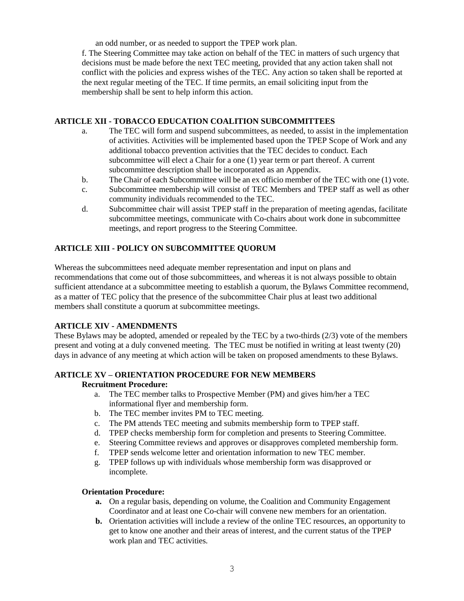an odd number, or as needed to support the TPEP work plan.

f. The Steering Committee may take action on behalf of the TEC in matters of such urgency that decisions must be made before the next TEC meeting, provided that any action taken shall not conflict with the policies and express wishes of the TEC. Any action so taken shall be reported at the next regular meeting of the TEC. If time permits, an email soliciting input from the membership shall be sent to help inform this action.

#### **ARTICLE XII - TOBACCO EDUCATION COALITION SUBCOMMITTEES**

- a. The TEC will form and suspend subcommittees*,* as needed, to assist in the implementation of activities. Activities will be implemented based upon the TPEP Scope of Work and any additional tobacco prevention activities that the TEC decides to conduct*.* Each subcommittee will elect a Chair for a one (1) year term or part thereof. A current subcommittee description shall be incorporated as an Appendix.
- b. The Chair of each Subcommittee will be an ex officio member of the TEC with one (1) vote.
- c. Subcommittee membership will consist of TEC Members and TPEP staff as well as other community individuals recommended to the TEC.
- d. Subcommittee chair will assist TPEP staff in the preparation of meeting agendas, facilitate subcommittee meetings, communicate with Co-chairs about work done in subcommittee meetings, and report progress to the Steering Committee.

#### **ARTICLE XIII - POLICY ON SUBCOMMITTEE QUORUM**

Whereas the subcommittees need adequate member representation and input on plans and recommendations that come out of those subcommittees, and whereas it is not always possible to obtain sufficient attendance at a subcommittee meeting to establish a quorum, the Bylaws Committee recommend, as a matter of TEC policy that the presence of the subcommittee Chair plus at least two additional members shall constitute a quorum at subcommittee meetings.

#### **ARTICLE XIV - AMENDMENTS**

These Bylaws may be adopted, amended or repealed by the TEC by a two-thirds (2/3) vote of the members present and voting at a duly convened meeting. The TEC must be notified in writing at least twenty (20) days in advance of any meeting at which action will be taken on proposed amendments to these Bylaws.

#### **ARTICLE XV – ORIENTATION PROCEDURE FOR NEW MEMBERS**

#### **Recruitment Procedure:**

- a. The TEC member talks to Prospective Member (PM) and gives him/her a TEC informational flyer and membership form.
- b. The TEC member invites PM to TEC meeting.
- c. The PM attends TEC meeting and submits membership form to TPEP staff.
- d. TPEP checks membership form for completion and presents to Steering Committee.
- e. Steering Committee reviews and approves or disapproves completed membership form.
- f. TPEP sends welcome letter and orientation information to new TEC member.
- g. TPEP follows up with individuals whose membership form was disapproved or incomplete.

#### **Orientation Procedure:**

- **a.** On a regular basis, depending on volume, the Coalition and Community Engagement Coordinator and at least one Co-chair will convene new members for an orientation.
- **b.** Orientation activities will include a review of the online TEC resources, an opportunity to get to know one another and their areas of interest, and the current status of the TPEP work plan and TEC activities.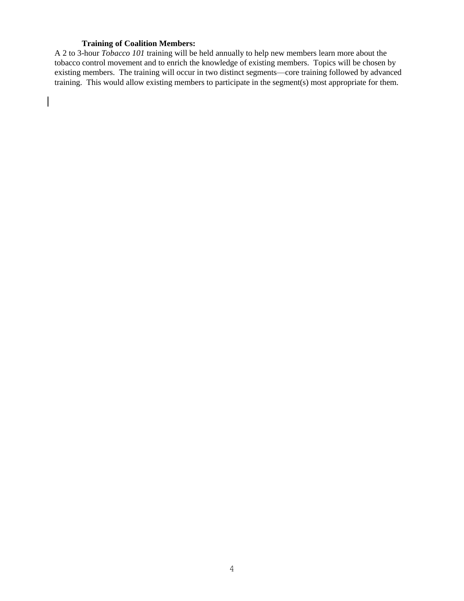#### **Training of Coalition Members:**

 $\overline{\phantom{a}}$ 

A 2 to 3-hour *Tobacco 101* training will be held annually to help new members learn more about the tobacco control movement and to enrich the knowledge of existing members. Topics will be chosen by existing members. The training will occur in two distinct segments—core training followed by advanced training. This would allow existing members to participate in the segment(s) most appropriate for them.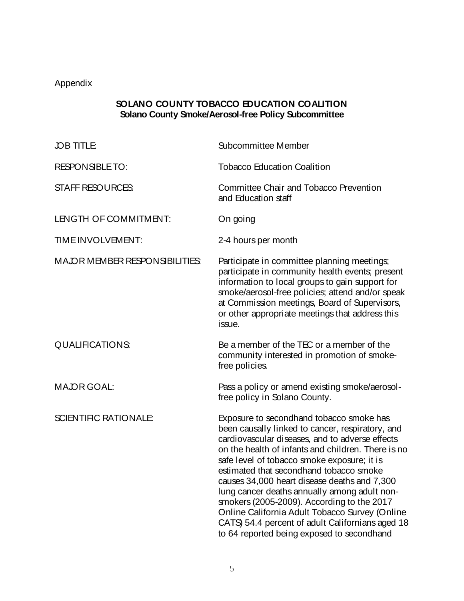## Appendix

## **SOLANO COUNTY TOBACCO EDUCATION COALITION Solano County Smoke/Aerosol-free Policy Subcommittee**

| <b>JOB TITLE</b>               | <b>Subcommittee Member</b>                                                                                                                                                                                                                                                                                                                                                                                                                                                                                                                                                                        |
|--------------------------------|---------------------------------------------------------------------------------------------------------------------------------------------------------------------------------------------------------------------------------------------------------------------------------------------------------------------------------------------------------------------------------------------------------------------------------------------------------------------------------------------------------------------------------------------------------------------------------------------------|
| <b>RESPONSIBLE TO:</b>         | <b>Tobacco Education Coalition</b>                                                                                                                                                                                                                                                                                                                                                                                                                                                                                                                                                                |
| <b>STAFF RESOURCES</b>         | <b>Committee Chair and Tobacco Prevention</b><br>and Education staff                                                                                                                                                                                                                                                                                                                                                                                                                                                                                                                              |
| LENGTH OF COMMITMENT:          | On going                                                                                                                                                                                                                                                                                                                                                                                                                                                                                                                                                                                          |
| TIME INVOLVEMENT:              | 2-4 hours per month                                                                                                                                                                                                                                                                                                                                                                                                                                                                                                                                                                               |
| MAJOR MEMBER RESPONSIBILITIES: | Participate in committee planning meetings;<br>participate in community health events; present<br>information to local groups to gain support for<br>smoke/aerosol-free policies; attend and/or speak<br>at Commission meetings, Board of Supervisors,<br>or other appropriate meetings that address this<br>issue.                                                                                                                                                                                                                                                                               |
| <b>QUALIFICATIONS</b>          | Be a member of the TEC or a member of the<br>community interested in promotion of smoke-<br>free policies.                                                                                                                                                                                                                                                                                                                                                                                                                                                                                        |
| <b>MAJOR GOAL:</b>             | Pass a policy or amend existing smoke/aerosol-<br>free policy in Solano County.                                                                                                                                                                                                                                                                                                                                                                                                                                                                                                                   |
| <b>SCIENTIFIC RATIONALE</b>    | Exposure to secondhand tobacco smoke has<br>been causally linked to cancer, respiratory, and<br>cardiovascular diseases, and to adverse effects<br>on the health of infants and children. There is no<br>safe level of tobacco smoke exposure; it is<br>estimated that secondhand tobacco smoke<br>causes 34,000 heart disease deaths and 7,300<br>lung cancer deaths annually among adult non-<br>smokers (2005-2009). According to the 2017<br>Online California Adult Tobacco Survey (Online<br>CATS) 54.4 percent of adult Californians aged 18<br>to 64 reported being exposed to secondhand |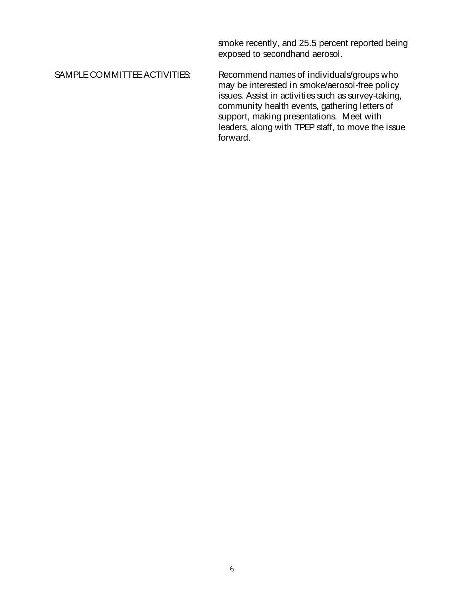smoke recently, and 25.5 percent reported being exposed to secondhand aerosol.

SAMPLE COMMITTEE ACTIVITIES: Recommend names of individuals/groups who may be interested in smoke/aerosol-free policy issues. Assist in activities such as survey-taking, community health events, gathering letters of support, making presentations. Meet with leaders, along with TPEP staff, to move the issue forward.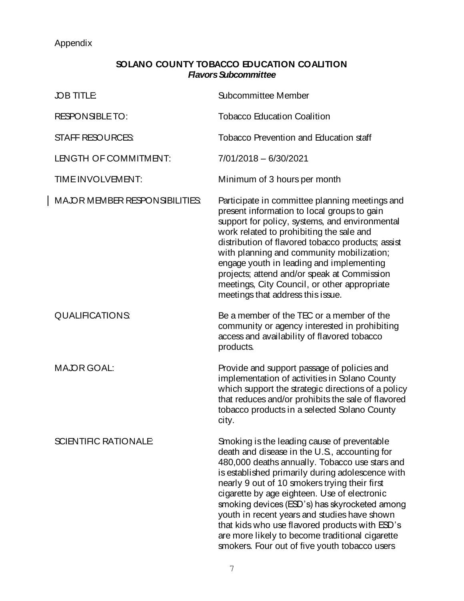## Appendix

 $\overline{\phantom{a}}$ 

## **SOLANO COUNTY TOBACCO EDUCATION COALITION** *Flavors Subcommittee*

| <b>JOB TITLE</b>                      | Subcommittee Member                                                                                                                                                                                                                                                                                                                                                                                                                                                                                                                                        |
|---------------------------------------|------------------------------------------------------------------------------------------------------------------------------------------------------------------------------------------------------------------------------------------------------------------------------------------------------------------------------------------------------------------------------------------------------------------------------------------------------------------------------------------------------------------------------------------------------------|
| <b>RESPONSIBLE TO:</b>                | <b>Tobacco Education Coalition</b>                                                                                                                                                                                                                                                                                                                                                                                                                                                                                                                         |
| <b>STAFF RESOURCES</b>                | <b>Tobacco Prevention and Education staff</b>                                                                                                                                                                                                                                                                                                                                                                                                                                                                                                              |
| LENGTH OF COMMITMENT:                 | 7/01/2018 - 6/30/2021                                                                                                                                                                                                                                                                                                                                                                                                                                                                                                                                      |
| TIME INVOLVEMENT:                     | Minimum of 3 hours per month                                                                                                                                                                                                                                                                                                                                                                                                                                                                                                                               |
| <b>MAJOR MEMBER RESPONSIBILITIES:</b> | Participate in committee planning meetings and<br>present information to local groups to gain<br>support for policy, systems, and environmental<br>work related to prohibiting the sale and<br>distribution of flavored tobacco products; assist<br>with planning and community mobilization;<br>engage youth in leading and implementing<br>projects; attend and/or speak at Commission<br>meetings, City Council, or other appropriate<br>meetings that address this issue.                                                                              |
| <b>QUALIFICATIONS</b>                 | Be a member of the TEC or a member of the<br>community or agency interested in prohibiting<br>access and availability of flavored tobacco<br>products.                                                                                                                                                                                                                                                                                                                                                                                                     |
| <b>MAJOR GOAL:</b>                    | Provide and support passage of policies and<br>implementation of activities in Solano County<br>which support the strategic directions of a policy<br>that reduces and/or prohibits the sale of flavored<br>tobacco products in a selected Solano County<br>city.                                                                                                                                                                                                                                                                                          |
| <b>SCIENTIFIC RATIONALE</b>           | Smoking is the leading cause of preventable<br>death and disease in the U.S., accounting for<br>480,000 deaths annually. Tobacco use stars and<br>is established primarily during adolescence with<br>nearly 9 out of 10 smokers trying their first<br>cigarette by age eighteen. Use of electronic<br>smoking devices (ESD's) has skyrocketed among<br>youth in recent years and studies have shown<br>that kids who use flavored products with ESD's<br>are more likely to become traditional cigarette<br>smokers. Four out of five youth tobacco users |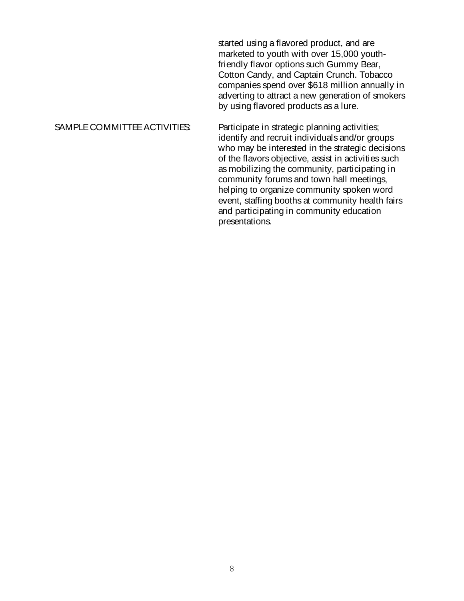started using a flavored product, and are marketed to youth with over 15,000 youthfriendly flavor options such Gummy Bear, Cotton Candy, and Captain Crunch. Tobacco companies spend over \$618 million annually in adverting to attract a new generation of smokers by using flavored products as a lure.

SAMPLE COMMITTEE ACTIVITIES: Participate in strategic planning activities; identify and recruit individuals and/or groups who may be interested in the strategic decisions of the flavors objective, assist in activities such as mobilizing the community, participating in community forums and town hall meetings, helping to organize community spoken word event, staffing booths at community health fairs and participating in community education presentations.